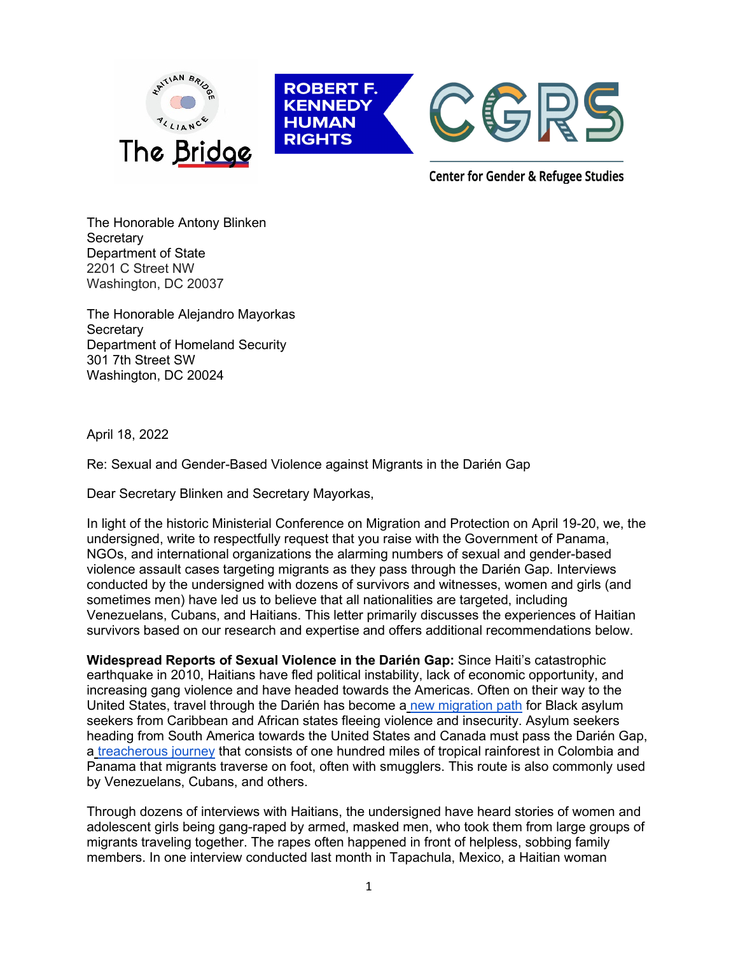

The Honorable Antony Blinken **Secretary** Department of State 2201 C Street NW Washington, DC 20037

The Honorable Alejandro Mayorkas **Secretary** Department of Homeland Security 301 7th Street SW Washington, DC 20024

April 18, 2022

Re: Sexual and Gender-Based Violence against Migrants in the Darién Gap

Dear Secretary Blinken and Secretary Mayorkas,

In light of the historic Ministerial Conference on Migration and Protection on April 19-20, we, the undersigned, write to respectfully request that you raise with the Government of Panama, NGOs, and international organizations the alarming numbers of sexual and gender-based violence assault cases targeting migrants as they pass through the Darién Gap. Interviews conducted by the undersigned with dozens of survivors and witnesses, women and girls (and sometimes men) have led us to believe that all nationalities are targeted, including Venezuelans, Cubans, and Haitians. This letter primarily discusses the experiences of Haitian survivors based on our research and expertise and offers additional recommendations below.

**Widespread Reports of Sexual Violence in the Darién Gap:** Since Haiti's catastrophic earthquake in 2010, Haitians have fled political instability, lack of economic opportunity, and increasing gang violence and have headed towards the Americas. Often on their way to the United States, travel through the Darién has become a [new migration path](https://cgrs.uchastings.edu/sites/default/files/A-Journey-of-Hope-Haitian-Womens-Migration-to%20-Tapachula.pdf) for Black asylum seekers from Caribbean and African states fleeing violence and insecurity. Asylum seekers heading from South America towards the United States and Canada must pass the Darién Gap, a [treacherous journey](https://www.spiegel.de/international/world/crossing-the-darien-gap-a-deadly-jungle-on-the-trek-to-america-a-a5a01a5f-bd44-4d48-b115-0b481ae83906) that consists of one hundred miles of tropical rainforest in Colombia and Panama that migrants traverse on foot, often with smugglers. This route is also commonly used by Venezuelans, Cubans, and others.

Through dozens of interviews with Haitians, the undersigned have heard stories of women and adolescent girls being gang-raped by armed, masked men, who took them from large groups of migrants traveling together. The rapes often happened in front of helpless, sobbing family members. In one interview conducted last month in Tapachula, Mexico, a Haitian woman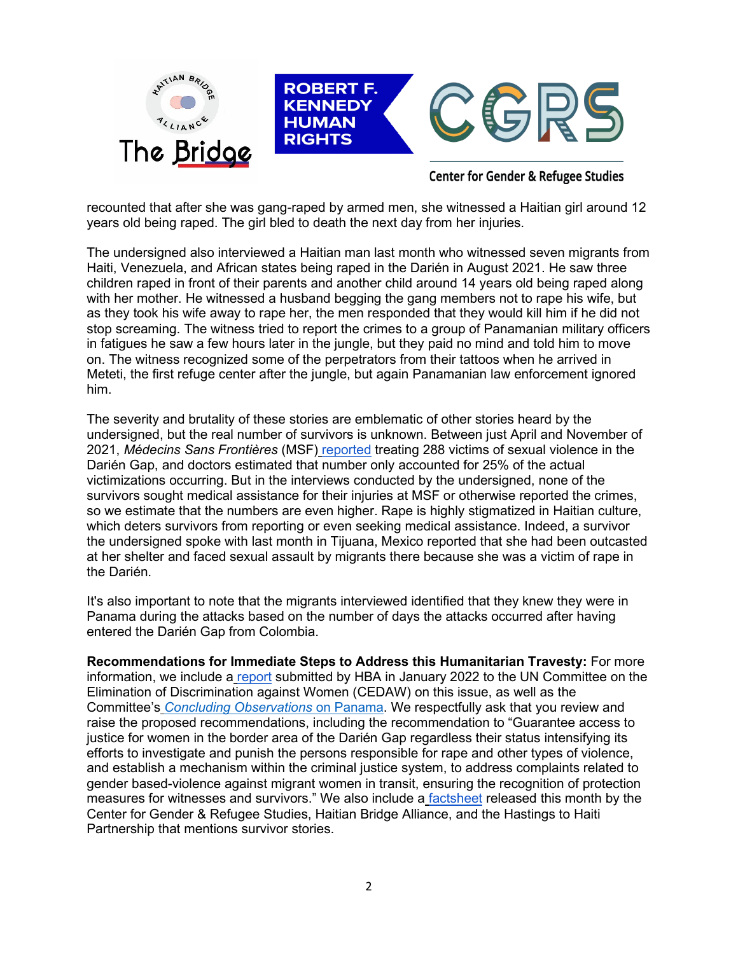

recounted that after she was gang-raped by armed men, she witnessed a Haitian girl around 12 years old being raped. The girl bled to death the next day from her injuries.

The undersigned also interviewed a Haitian man last month who witnessed seven migrants from Haiti, Venezuela, and African states being raped in the Darién in August 2021. He saw three children raped in front of their parents and another child around 14 years old being raped along with her mother. He witnessed a husband begging the gang members not to rape his wife, but as they took his wife away to rape her, the men responded that they would kill him if he did not stop screaming. The witness tried to report the crimes to a group of Panamanian military officers in fatigues he saw a few hours later in the jungle, but they paid no mind and told him to move on. The witness recognized some of the perpetrators from their tattoos when he arrived in Meteti, the first refuge center after the jungle, but again Panamanian law enforcement ignored him.

The severity and brutality of these stories are emblematic of other stories heard by the undersigned, but the real number of survivors is unknown. Between just April and November of 2021, *Médecins Sans Frontières* (MSF) [reported](https://www.doctorswithoutborders.org/what-we-do/news-stories/story/safe-routes-urgently-needed-thousands-migrants-crossing-darien-gap) treating 288 victims of sexual violence in the Darién Gap, and doctors estimated that number only accounted for 25% of the actual victimizations occurring. But in the interviews conducted by the undersigned, none of the survivors sought medical assistance for their injuries at MSF or otherwise reported the crimes, so we estimate that the numbers are even higher. Rape is highly stigmatized in Haitian culture, which deters survivors from reporting or even seeking medical assistance. Indeed, a survivor the undersigned spoke with last month in Tijuana, Mexico reported that she had been outcasted at her shelter and faced sexual assault by migrants there because she was a victim of rape in the Darién.

It's also important to note that the migrants interviewed identified that they knew they were in Panama during the attacks based on the number of days the attacks occurred after having entered the Darién Gap from Colombia.

**Recommendations for Immediate Steps to Address this Humanitarian Travesty:** For more information, we include a [report](https://tbinternet.ohchr.org/_layouts/15/treatybodyexternal/Download.aspx?symbolno=INT%2fCEDAW%2fCSS%2fPAN%2f47481&Lang=en) submitted by HBA in January 2022 to the UN Committee on the Elimination of Discrimination against Women (CEDAW) on this issue, as well as the Committee's *[Concluding Observations](https://tbinternet.ohchr.org/_layouts/15/treatybodyexternal/Download.aspx?symbolno=CEDAW%2fC%2fPAN%2fCO%2f8&Lang=en)* on Panama. We respectfully ask that you review and raise the proposed recommendations, including the recommendation to "Guarantee access to justice for women in the border area of the Darién Gap regardless their status intensifying its efforts to investigate and punish the persons responsible for rape and other types of violence, and establish a mechanism within the criminal justice system, to address complaints related to gender based-violence against migrant women in transit, ensuring the recognition of protection measures for witnesses and survivors." We also include a [factsheet](https://cgrs.uchastings.edu/sites/default/files/Tijuana%20Factsheet_2022.04.07%20FINAL%20v2_0.pdf) released this month by the Center for Gender & Refugee Studies, Haitian Bridge Alliance, and the Hastings to Haiti Partnership that mentions survivor stories.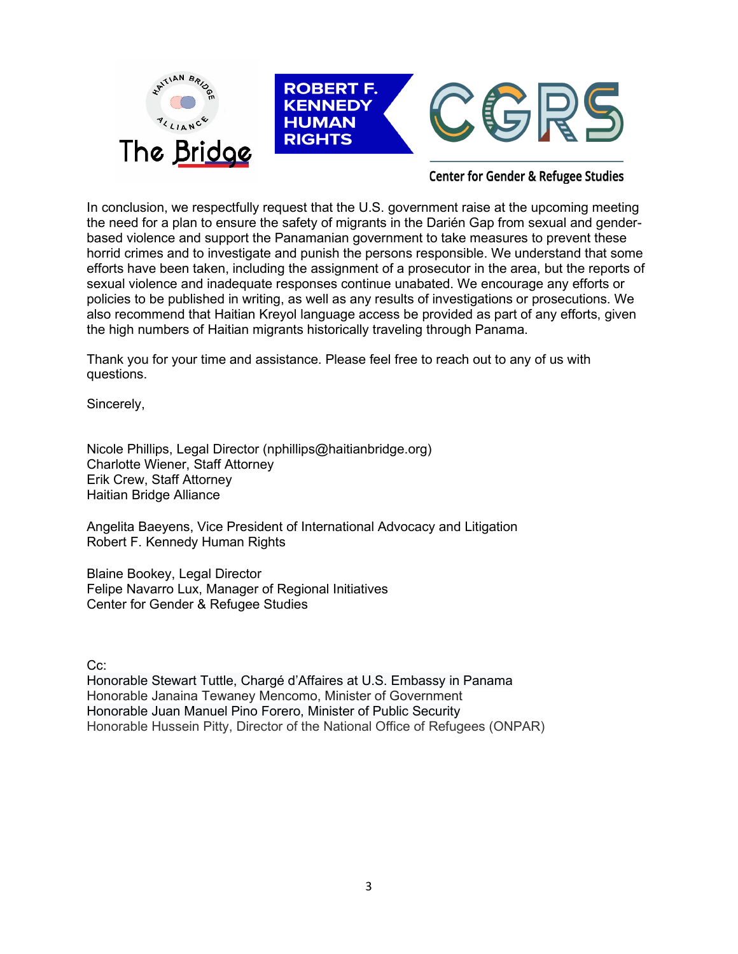

In conclusion, we respectfully request that the U.S. government raise at the upcoming meeting the need for a plan to ensure the safety of migrants in the Darién Gap from sexual and genderbased violence and support the Panamanian government to take measures to prevent these horrid crimes and to investigate and punish the persons responsible. We understand that some efforts have been taken, including the assignment of a prosecutor in the area, but the reports of sexual violence and inadequate responses continue unabated. We encourage any efforts or policies to be published in writing, as well as any results of investigations or prosecutions. We also recommend that Haitian Kreyol language access be provided as part of any efforts, given the high numbers of Haitian migrants historically traveling through Panama.

Thank you for your time and assistance. Please feel free to reach out to any of us with questions.

Sincerely,

Nicole Phillips, Legal Director (nphillips@haitianbridge.org) Charlotte Wiener, Staff Attorney Erik Crew, Staff Attorney Haitian Bridge Alliance

Angelita Baeyens, Vice President of International Advocacy and Litigation Robert F. Kennedy Human Rights

Blaine Bookey, Legal Director Felipe Navarro Lux, Manager of Regional Initiatives Center for Gender & Refugee Studies

C<sub>c</sub>:

Honorable Stewart Tuttle, Chargé d'Affaires at U.S. Embassy in Panama Honorable Janaina Tewaney Mencomo, Minister of Government Honorable Juan Manuel Pino Forero, Minister of Public Security Honorable Hussein Pitty, Director of the National Office of Refugees (ONPAR)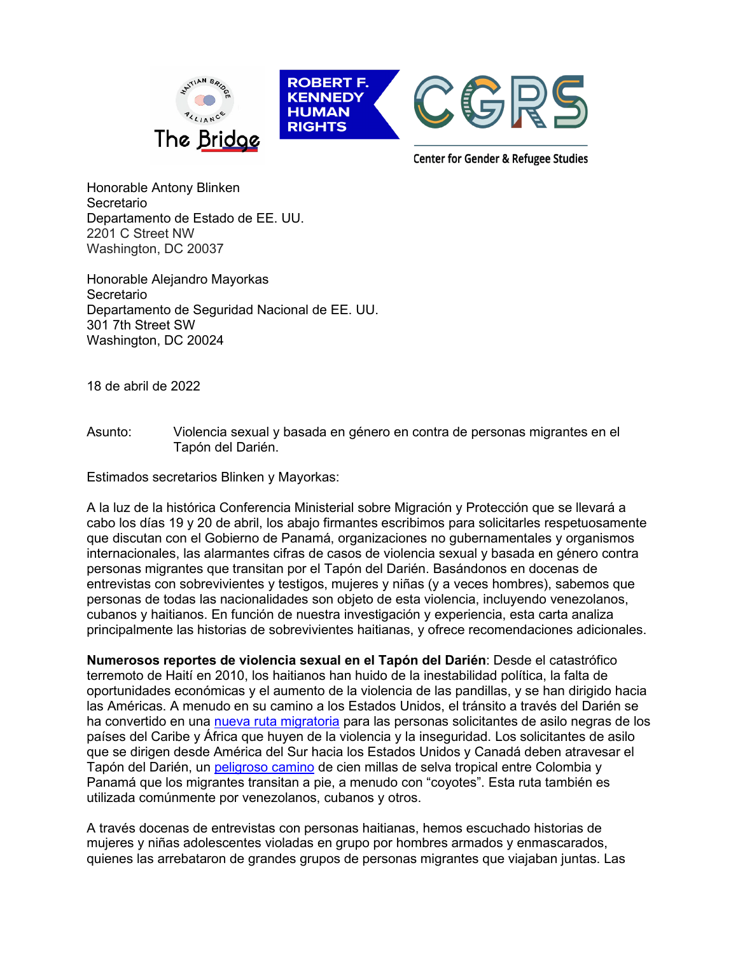

Honorable Antony Blinken Secretario Departamento de Estado de EE. UU. 2201 C Street NW Washington, DC 20037

Honorable Alejandro Mayorkas Secretario Departamento de Seguridad Nacional de EE. UU. 301 7th Street SW Washington, DC 20024

18 de abril de 2022

Asunto: Violencia sexual y basada en género en contra de personas migrantes en el Tapón del Darién.

Estimados secretarios Blinken y Mayorkas:

A la luz de la histórica Conferencia Ministerial sobre Migración y Protección que se llevará a cabo los días 19 y 20 de abril, los abajo firmantes escribimos para solicitarles respetuosamente que discutan con el Gobierno de Panamá, organizaciones no gubernamentales y organismos internacionales, las alarmantes cifras de casos de violencia sexual y basada en género contra personas migrantes que transitan por el Tapón del Darién. Basándonos en docenas de entrevistas con sobrevivientes y testigos, mujeres y niñas (y a veces hombres), sabemos que personas de todas las nacionalidades son objeto de esta violencia, incluyendo venezolanos, cubanos y haitianos. En función de nuestra investigación y experiencia, esta carta analiza principalmente las historias de sobrevivientes haitianas, y ofrece recomendaciones adicionales.

**Numerosos reportes de violencia sexual en el Tapón del Darién**: Desde el catastrófico terremoto de Haití en 2010, los haitianos han huido de la inestabilidad política, la falta de oportunidades económicas y el aumento de la violencia de las pandillas, y se han dirigido hacia las Américas. A menudo en su camino a los Estados Unidos, el tránsito a través del Darién se ha convertido en una [nueva ruta migratoria](https://cgrs.uchastings.edu/sites/default/files/Un-viaje-de-esperanza-La-Migracion-de-Mujeres-Haitianas-a-Tapachula-Mexico.pdf) para las personas solicitantes de asilo negras de los países del Caribe y África que huyen de la violencia y la inseguridad. Los solicitantes de asilo que se dirigen desde América del Sur hacia los Estados Unidos y Canadá deben atravesar el Tapón del Darién, un [peligroso camino](https://www.spiegel.de/international/world/crossing-the-darien-gap-a-deadly-jungle-on-the-trek-to-america-a-a5a01a5f-bd44-4d48-b115-0b481ae83906) de cien millas de selva tropical entre Colombia y Panamá que los migrantes transitan a pie, a menudo con "coyotes". Esta ruta también es utilizada comúnmente por venezolanos, cubanos y otros.

A través docenas de entrevistas con personas haitianas, hemos escuchado historias de mujeres y niñas adolescentes violadas en grupo por hombres armados y enmascarados, quienes las arrebataron de grandes grupos de personas migrantes que viajaban juntas. Las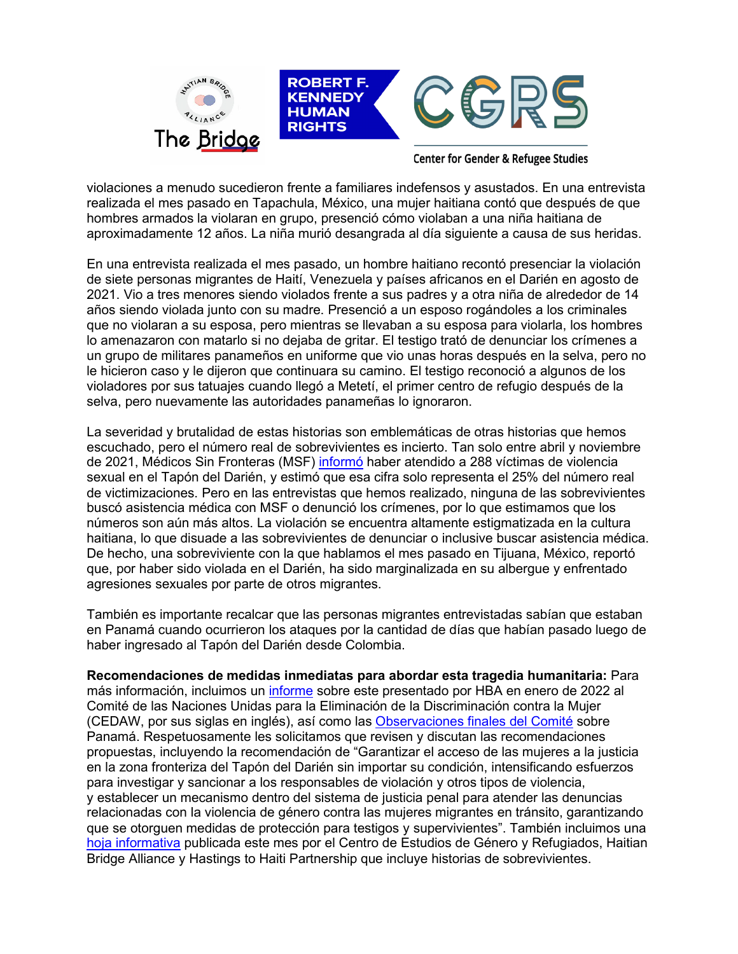

**Center for Gender & Refugee Studies** 

violaciones a menudo sucedieron frente a familiares indefensos y asustados. En una entrevista realizada el mes pasado en Tapachula, México, una mujer haitiana contó que después de que hombres armados la violaran en grupo, presenció cómo violaban a una niña haitiana de aproximadamente 12 años. La niña murió desangrada al día siguiente a causa de sus heridas.

En una entrevista realizada el mes pasado, un hombre haitiano recontó presenciar la violación de siete personas migrantes de Haití, Venezuela y países africanos en el Darién en agosto de 2021. Vio a tres menores siendo violados frente a sus padres y a otra niña de alrededor de 14 años siendo violada junto con su madre. Presenció a un esposo rogándoles a los criminales que no violaran a su esposa, pero mientras se llevaban a su esposa para violarla, los hombres lo amenazaron con matarlo si no dejaba de gritar. El testigo trató de denunciar los crímenes a un grupo de militares panameños en uniforme que vio unas horas después en la selva, pero no le hicieron caso y le dijeron que continuara su camino. El testigo reconoció a algunos de los violadores por sus tatuajes cuando llegó a Metetí, el primer centro de refugio después de la selva, pero nuevamente las autoridades panameñas lo ignoraron.

La severidad y brutalidad de estas historias son emblemáticas de otras historias que hemos escuchado, pero el número real de sobrevivientes es incierto. Tan solo entre abril y noviembre de 2021, Médicos Sin Fronteras (MSF) [informó](https://www.doctorswithoutborders.org/what-we-do/news-stories/story/safe-routes-urgently-needed-thousands-migrants-crossing-darien-gap) haber atendido a 288 víctimas de violencia sexual en el Tapón del Darién, y estimó que esa cifra solo representa el 25% del número real de victimizaciones. Pero en las entrevistas que hemos realizado, ninguna de las sobrevivientes buscó asistencia médica con MSF o denunció los crímenes, por lo que estimamos que los números son aún más altos. La violación se encuentra altamente estigmatizada en la cultura haitiana, lo que disuade a las sobrevivientes de denunciar o inclusive buscar asistencia médica. De hecho, una sobreviviente con la que hablamos el mes pasado en Tijuana, México, reportó que, por haber sido violada en el Darién, ha sido marginalizada en su albergue y enfrentado agresiones sexuales por parte de otros migrantes.

También es importante recalcar que las personas migrantes entrevistadas sabían que estaban en Panamá cuando ocurrieron los ataques por la cantidad de días que habían pasado luego de haber ingresado al Tapón del Darién desde Colombia.

**Recomendaciones de medidas inmediatas para abordar esta tragedia humanitaria:** Para más información, incluimos un [informe](https://tbinternet.ohchr.org/_layouts/15/treatybodyexternal/Download.aspx?symbolno=INT%2fCEDAW%2fCSS%2fPAN%2f47481&Lang=en) sobre este presentado por HBA en enero de 2022 al Comité de las Naciones Unidas para la Eliminación de la Discriminación contra la Mujer (CEDAW, por sus siglas en inglés), así como las [Observaciones finales del Comité](https://tbinternet.ohchr.org/_layouts/15/treatybodyexternal/Download.aspx?symbolno=CEDAW%2fC%2fPAN%2fCO%2f8&Lang=en) sobre Panamá. Respetuosamente les solicitamos que revisen y discutan las recomendaciones propuestas, incluyendo la recomendación de "Garantizar el acceso de las mujeres a la justicia en la zona fronteriza del Tapón del Darién sin importar su condición, intensificando esfuerzos para investigar y sancionar a los responsables de violación y otros tipos de violencia, y establecer un mecanismo dentro del sistema de justicia penal para atender las denuncias relacionadas con la violencia de género contra las mujeres migrantes en tránsito, garantizando que se otorguen medidas de protección para testigos y supervivientes". También incluimos una [hoja informativa](https://cgrs.uchastings.edu/sites/default/files/Tijuana%20Factsheet_2022.04.07%20FINAL%20v2_0.pdf) publicada este mes por el Centro de Estudios de Género y Refugiados, Haitian Bridge Alliance y Hastings to Haiti Partnership que incluye historias de sobrevivientes.